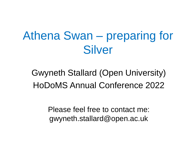# Athena Swan – preparing for **Silver**

Gwyneth Stallard (Open University) HoDoMS Annual Conference 2022

> Please feel free to contact me: gwyneth.stallard@open.ac.uk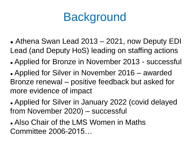### **Background**

- ⚫ Athena Swan Lead 2013 2021, now Deputy EDI Lead (and Deputy HoS) leading on staffing actions
- Applied for Bronze in November 2013 successful

⚫ Applied for Silver in November 2016 – awarded Bronze renewal – positive feedback but asked for more evidence of impact

⚫ Applied for Silver in January 2022 (covid delayed from November 2020) – successful

⚫ Also Chair of the LMS Women in Maths Committee 2006-2015…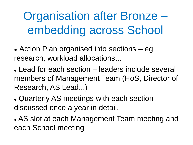# Organisation after Bronze – embedding across School

• Action Plan organised into sections – eg research, workload allocations,..

• Lead for each section – leaders include several members of Management Team (HoS, Director of Research, AS Lead...)

⚫ Quarterly AS meetings with each section discussed once a year in detail.

⚫ AS slot at each Management Team meeting and each School meeting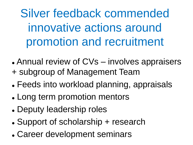Silver feedback commended innovative actions around promotion and recruitment

- Annual review of CVs involves appraisers + subgroup of Management Team
- 
- ⚫ Feeds into workload planning, appraisals
- ⚫ Long term promotion mentors
- ⚫ Deputy leadership roles
- ⚫ Support of scholarship + research
- ⚫ Career development seminars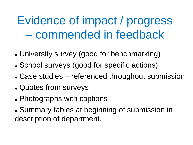### Evidence of impact / progress – commended in feedback

- ⚫ University survey (good for benchmarking)
- ⚫ School surveys (good for specific actions)
- Case studies referenced throughout submission
- Quotes from surveys
- Photographs with captions
- ⚫ Summary tables at beginning of submission in description of department.